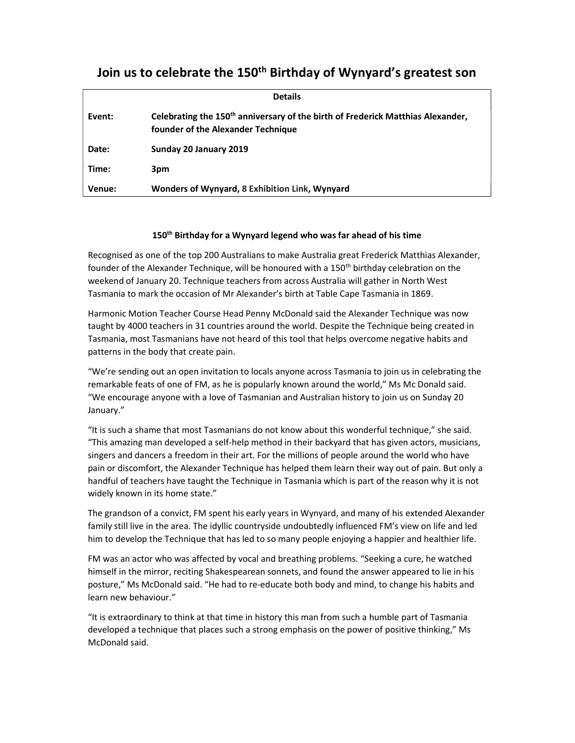## Join us to celebrate the 150<sup>th</sup> Birthday of Wynyard's greatest son

|        | <b>Details</b>                                                                                                                    |
|--------|-----------------------------------------------------------------------------------------------------------------------------------|
| Event: | Celebrating the 150 <sup>th</sup> anniversary of the birth of Frederick Matthias Alexander,<br>founder of the Alexander Technique |
| Date:  | Sunday 20 January 2019                                                                                                            |
| Time:  | 3pm                                                                                                                               |
| Venue: | Wonders of Wynyard, 8 Exhibition Link, Wynyard                                                                                    |

## 150<sup>th</sup> Birthday for a Wynyard legend who was far ahead of his time

Recognised as one of the top 200 Australians to make Australia great Frederick Matthias Alexander, founder of the Alexander Technique, will be honoured with a 150<sup>th</sup> birthday celebration on the weekend of January 20. Technique teachers from across Australia will gather in North West Tasmania to mark the occasion of Mr Alexander's birth at Table Cape Tasmania in 1869.

Harmonic Motion Teacher Course Head Penny McDonald said the Alexander Technique was now taught by 4000 teachers in 31 countries around the world. Despite the Technique being created in Tasmania, most Tasmanians have not heard of this tool that helps overcome negative habits and patterns in the body that create pain.

"We're sending out an open invitation to locals anyone across Tasmania to join us in celebrating the remarkable feats of one of FM, as he is popularly known around the world," Ms Mc Donald said. "We encourage anyone with a love of Tasmanian and Australian history to join us on Sunday 20 January."

"It is such a shame that most Tasmanians do not know about this wonderful technique," she said. "This amazing man developed a self-help method in their backyard that has given actors, musicians, singers and dancers a freedom in their art. For the millions of people around the world who have pain or discomfort, the Alexander Technique has helped them learn their way out of pain. But only a handful of teachers have taught the Technique in Tasmania which is part of the reason why it is not widely known in its home state."

The grandson of a convict, FM spent his early years in Wynyard, and many of his extended Alexander family still live in the area. The idyllic countryside undoubtedly influenced FM's view on life and led him to develop the Technique that has led to so many people enjoying a happier and healthier life.

FM was an actor who was affected by vocal and breathing problems. "Seeking a cure, he watched himself in the mirror, reciting Shakespearean sonnets, and found the answer appeared to lie in his posture," Ms McDonald said. "He had to re-educate both body and mind, to change his habits and learn new behaviour."

"It is extraordinary to think at that time in history this man from such a humble part of Tasmania developed a technique that places such a strong emphasis on the power of positive thinking," Ms McDonald said.